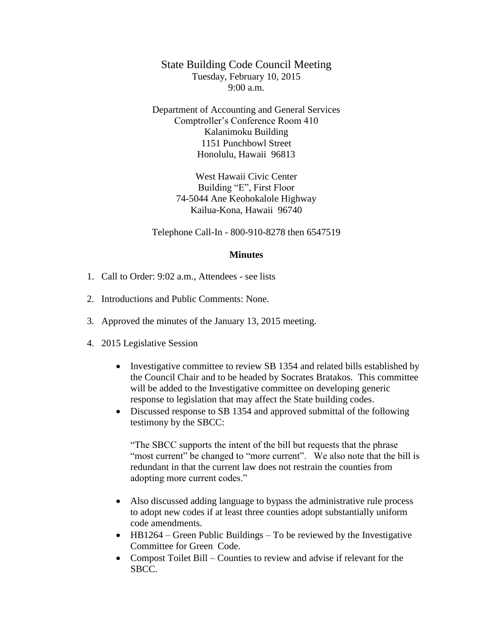State Building Code Council Meeting Tuesday, February 10, 2015 9:00 a.m.

Department of Accounting and General Services Comptroller's Conference Room 410 Kalanimoku Building 1151 Punchbowl Street Honolulu, Hawaii 96813

> West Hawaii Civic Center Building "E", First Floor 74-5044 Ane Keohokalole Highway Kailua-Kona, Hawaii 96740

Telephone Call-In - 800-910-8278 then 6547519

## **Minutes**

- 1. Call to Order: 9:02 a.m., Attendees see lists
- 2. Introductions and Public Comments: None.
- 3. Approved the minutes of the January 13, 2015 meeting.
- 4. 2015 Legislative Session
	- Investigative committee to review SB 1354 and related bills established by the Council Chair and to be headed by Socrates Bratakos. This committee will be added to the Investigative committee on developing generic response to legislation that may affect the State building codes.
	- Discussed response to SB 1354 and approved submittal of the following testimony by the SBCC:

"The SBCC supports the intent of the bill but requests that the phrase "most current" be changed to "more current". We also note that the bill is redundant in that the current law does not restrain the counties from adopting more current codes."

- Also discussed adding language to bypass the administrative rule process to adopt new codes if at least three counties adopt substantially uniform code amendments.
- $\bullet$  HB1264 Green Public Buildings To be reviewed by the Investigative Committee for Green Code.
- Compost Toilet Bill Counties to review and advise if relevant for the SBCC.